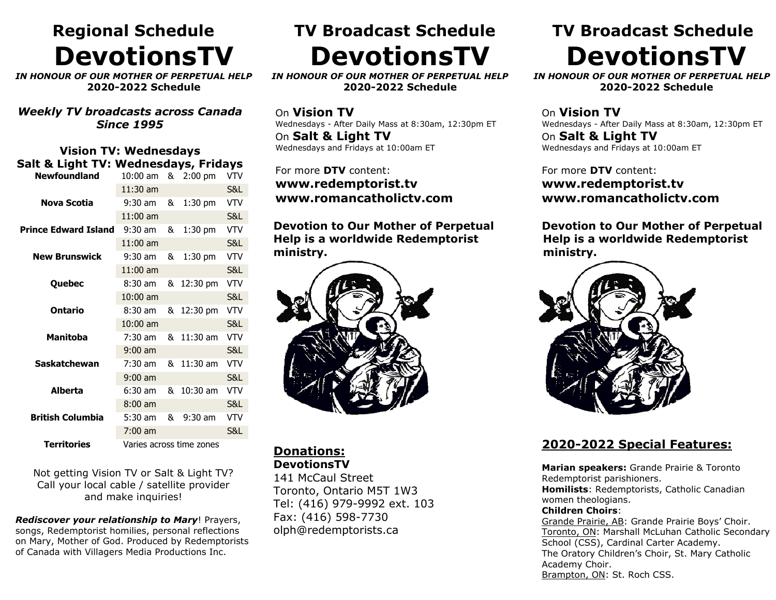## **Regional Schedule DevotionsTV**

*IN HONOUR OF OUR MOTHER OF PERPETUAL HELP* **2020-2022 Schedule**

*Weekly TV broadcasts across Canada Since 1995*

#### **Vision TV: Wednesdays Salt & Light TV: Wednesdays, Fridays**

| <b>Newfoundland</b>         | 10:00 am                 | & | $2:00$ pm          | VTV            |  |
|-----------------------------|--------------------------|---|--------------------|----------------|--|
|                             | $11:30$ am               |   |                    | S&L            |  |
| Nova Scotia                 | $9:30$ am                | & | $1:30$ pm          | VTV            |  |
|                             | $11:00$ am               |   |                    | S&L            |  |
| <b>Prince Edward Island</b> | $9:30$ am                | & | $1:30$ pm          | <b>VTV</b>     |  |
|                             | $11:00$ am               |   |                    | <b>S&amp;L</b> |  |
| <b>New Brunswick</b>        | $9:30$ am                | & | 1:30 pm            | <b>VTV</b>     |  |
|                             | $11:00$ am               |   |                    | S&L            |  |
| Quebec                      | $8:30$ am                | & | $12:30 \text{ pm}$ | VTV            |  |
|                             | $10:00$ am               |   |                    | <b>S&amp;L</b> |  |
| <b>Ontario</b>              | $8:30$ am                | & | 12:30 pm           | VTV            |  |
|                             | $10:00$ am               |   |                    | <b>S&amp;L</b> |  |
| <b>Manitoba</b>             | $7:30$ am                | & | $11:30$ am         | <b>VTV</b>     |  |
|                             | $9:00$ am                |   |                    | S&L            |  |
| <b>Saskatchewan</b>         | $7:30$ am                | & | 11:30 am           | <b>VTV</b>     |  |
|                             | $9:00$ am                |   |                    | S&L            |  |
| Alberta                     | 6:30 am                  | & | 10:30 am           | VTV            |  |
|                             | $8:00$ am                |   |                    | S&L            |  |
| <b>British Columbia</b>     | 5:30 am                  | & | $9:30$ am          | <b>VTV</b>     |  |
|                             | $7:00$ am                |   |                    | S&L            |  |
| <b>Territories</b>          | Varies across time zones |   |                    |                |  |

Not getting Vision TV or Salt & Light TV? Call your local cable / satellite provider and make inquiries!

*Rediscover your relationship to Mary*! Prayers, songs, Redemptorist homilies, personal reflections on Mary, Mother of God. Produced by Redemptorists of Canada with Villagers Media Productions Inc.

## **TV Broadcast Schedule DevotionsTV**

*IN HONOUR OF OUR MOTHER OF PERPETUAL HELP* **2020-2022 Schedule**

On **Vision TV** Wednesdays - After Daily Mass at 8:30am, 12:30pm ET On **Salt & Light TV** Wednesdays and Fridays at 10:00am ET

For more **DTV** content: **www.redemptorist.tv www.romancatholictv.com**

**Devotion to Our Mother of Perpetual Help is a worldwide Redemptorist ministry.**



**Donations: DevotionsTV**

141 McCaul Street Toronto, Ontario M5T 1W3 Tel: (416) 979-9992 ext. 103 Fax: (416) 598-7730 olph@redemptorists.ca

### **TV Broadcast Schedule DevotionsTV**

 *IN HONOUR OF OUR MOTHER OF PERPETUAL HELP* **2020-2022 Schedule** 

On **Vision TV** Wednesdays - After Daily Mass at 8:30am, 12:30pm ET On **Salt & Light TV** Wednesdays and Fridays at 10:00am ET

For more **DTV** content: **www.redemptorist.tv www.romancatholictv.com**

**Devotion to Our Mother of Perpetual Help is a worldwide Redemptorist ministry.**



#### **2020-2022 Special Features:**

**Marian speakers:** Grande Prairie & Toronto Redemptorist parishioners. **Homilists**: Redemptorists, Catholic Canadian women theologians. **Children Choirs**:

Grande Prairie, AB: Grande Prairie Boys' Choir. Toronto, ON: Marshall McLuhan Catholic Secondary School (CSS), Cardinal Carter Academy. The Oratory Children's Choir, St. Mary Catholic Academy Choir.

Brampton, ON: St. Roch CSS.